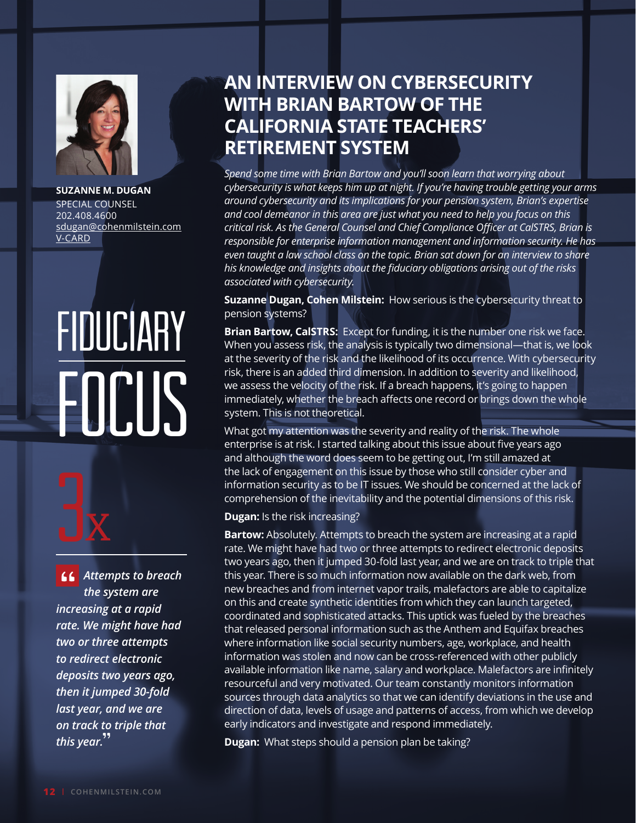

**SUZANNE M. DUGAN** SPECIAL COUNSEL 202.408.4600 [sdugan@cohenmilstein.com](mailto:sdugan%40cohenmilstein.com?subject=) [V-CARD](https://www.cohenmilstein.com/sites/default/files/professionals/vcard/Suzanne%20Dugan-vcard.vcf)

## Fiduciary EOCUS



*Attempts to breach the system are increasing at a rapid rate. We might have had two or three attempts to redirect electronic deposits two years ago, then it jumped 30-fold last year, and we are on track to triple that this year.* .u<br>,,

## **AN INTERVIEW ON CYBERSECURITY WITH BRIAN BARTOW OF THE CALIFORNIA STATE TEACHERS' RETIREMENT SYSTEM**

*Spend some time with Brian Bartow and you'll soon learn that worrying about cybersecurity is what keeps him up at night. If you're having trouble getting your arms around cybersecurity and its implications for your pension system, Brian's expertise and cool demeanor in this area are just what you need to help you focus on this critical risk. As the General Counsel and Chief Compliance Officer at CalSTRS, Brian is responsible for enterprise information management and information security. He has even taught a law school class on the topic. Brian sat down for an interview to share his knowledge and insights about the fiduciary obligations arising out of the risks associated with cybersecurity.*

**Suzanne Dugan, Cohen Milstein:** How serious is the cybersecurity threat to pension systems?

**Brian Bartow, CalSTRS:** Except for funding, it is the number one risk we face. When you assess risk, the analysis is typically two dimensional—that is, we look at the severity of the risk and the likelihood of its occurrence. With cybersecurity risk, there is an added third dimension. In addition to severity and likelihood, we assess the velocity of the risk. If a breach happens, it's going to happen immediately, whether the breach affects one record or brings down the whole system. This is not theoretical.

What got my attention was the severity and reality of the risk. The whole enterprise is at risk. I started talking about this issue about five years ago and although the word does seem to be getting out, I'm still amazed at the lack of engagement on this issue by those who still consider cyber and information security as to be IT issues. We should be concerned at the lack of comprehension of the inevitability and the potential dimensions of this risk.

**Dugan:** Is the risk increasing?

**Bartow:** Absolutely. Attempts to breach the system are increasing at a rapid rate. We might have had two or three attempts to redirect electronic deposits two years ago, then it jumped 30-fold last year, and we are on track to triple that this year. There is so much information now available on the dark web, from new breaches and from internet vapor trails, malefactors are able to capitalize on this and create synthetic identities from which they can launch targeted, coordinated and sophisticated attacks. This uptick was fueled by the breaches that released personal information such as the Anthem and Equifax breaches where information like social security numbers, age, workplace, and health information was stolen and now can be cross-referenced with other publicly available information like name, salary and workplace. Malefactors are infinitely resourceful and very motivated. Our team constantly monitors information sources through data analytics so that we can identify deviations in the use and direction of data, levels of usage and patterns of access, from which we develop early indicators and investigate and respond immediately.

**Dugan:** What steps should a pension plan be taking?